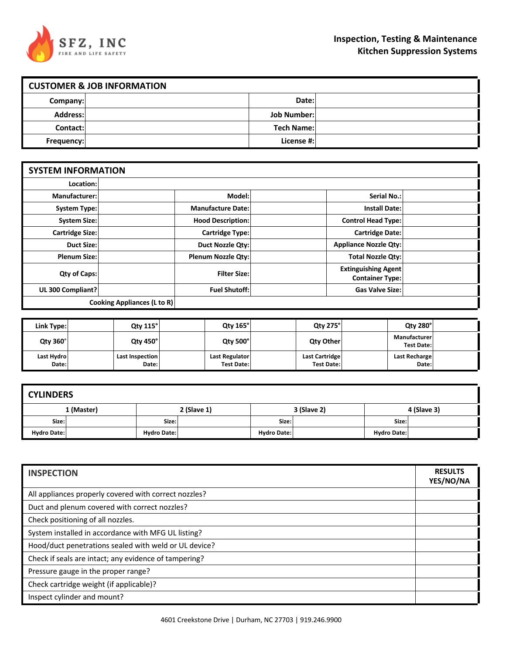

| <b>CUSTOMER &amp; JOB INFORMATION</b> |  |                    |  |
|---------------------------------------|--|--------------------|--|
| Company:                              |  | Date:              |  |
| Address:                              |  | <b>Job Number:</b> |  |
| Contact:                              |  | <b>Tech Name:</b>  |  |
| Frequency:                            |  | License #:         |  |

| <b>SYSTEM INFORMATION</b>          |  |                           |  |                                                      |  |
|------------------------------------|--|---------------------------|--|------------------------------------------------------|--|
| Location:                          |  |                           |  |                                                      |  |
| Manufacturer:                      |  | Model:                    |  | Serial No.:                                          |  |
| System Type:                       |  | <b>Manufacture Date:</b>  |  | <b>Install Date:</b>                                 |  |
| <b>System Size:</b>                |  | <b>Hood Description:</b>  |  | <b>Control Head Type:</b>                            |  |
| Cartridge Size:                    |  | <b>Cartridge Type:</b>    |  | <b>Cartridge Date:</b>                               |  |
| <b>Duct Size:</b>                  |  | <b>Duct Nozzle Qty:</b>   |  | <b>Appliance Nozzle Qty:</b>                         |  |
| <b>Plenum Size:</b>                |  | <b>Plenum Nozzle Qty:</b> |  | <b>Total Nozzle Qty:</b>                             |  |
| Qty of Caps:                       |  | <b>Filter Size:</b>       |  | <b>Extinguishing Agent</b><br><b>Container Type:</b> |  |
| UL 300 Compliant?                  |  | <b>Fuel Shutoff:</b>      |  | <b>Gas Valve Size:</b>                               |  |
| <b>Cooking Appliances (L to R)</b> |  |                           |  |                                                      |  |

| Link Type:          | <b>Qty 115°</b>          | <b>Qty 165°</b>                     | Qty 275°                            | <b>Qty 280°</b>                   |  |
|---------------------|--------------------------|-------------------------------------|-------------------------------------|-----------------------------------|--|
| <b>Qty 360°</b>     | <b>Qty 450°</b>          | <b>Qtv 500°</b>                     | Qty Other                           | Manufacturer<br><b>Test Date:</b> |  |
| Last Hydro<br>Date: | Last Inspection<br>Date: | Last Regulator<br><b>Test Date:</b> | Last Cartridge<br><b>Test Date:</b> | Last Recharge<br>Date:            |  |

| <b>CYLINDERS</b>   |            |                    |             |                    |             |                    |             |
|--------------------|------------|--------------------|-------------|--------------------|-------------|--------------------|-------------|
|                    | 1 (Master) |                    | 2 (Slave 1) |                    | 3 (Slave 2) |                    | 4 (Slave 3) |
| Size:              |            | Size:              |             | Size:              |             | Size:              |             |
| <b>Hydro Date:</b> |            | <b>Hydro Date:</b> |             | <b>Hydro Date:</b> |             | <b>Hydro Date:</b> |             |

| <b>INSPECTION</b>                                     |  |  |
|-------------------------------------------------------|--|--|
| All appliances properly covered with correct nozzles? |  |  |
| Duct and plenum covered with correct nozzles?         |  |  |
| Check positioning of all nozzles.                     |  |  |
| System installed in accordance with MFG UL listing?   |  |  |
| Hood/duct penetrations sealed with weld or UL device? |  |  |
| Check if seals are intact; any evidence of tampering? |  |  |
| Pressure gauge in the proper range?                   |  |  |
| Check cartridge weight (if applicable)?               |  |  |
| Inspect cylinder and mount?                           |  |  |